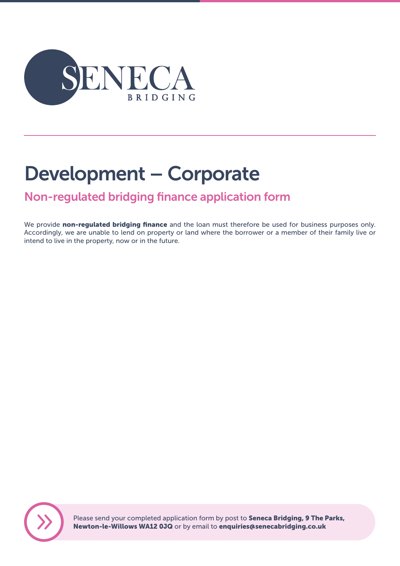

# Development – Corporate

# Non-regulated bridging finance application form

We provide non-regulated bridging finance and the loan must therefore be used for business purposes only. Accordingly, we are unable to lend on property or land where the borrower or a member of their family live or intend to live in the property, now or in the future.



Please send your completed application form by post to **Seneca Bridging, 9 The Parks,** Newton-le-Willows WA12 0JQ or by email to enquiries@senecabridging.co.uk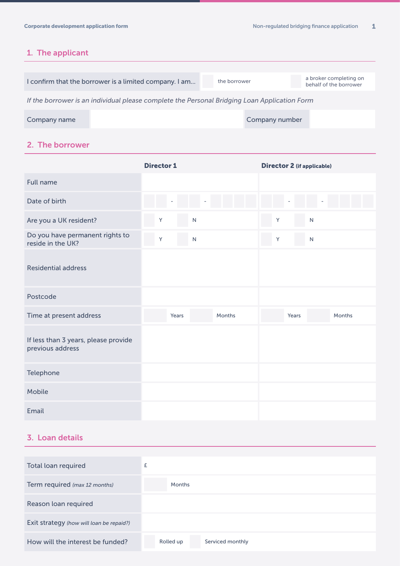# 1. The applicant

|                                                                                              | I confirm that the borrower is a limited company. I am | the borrower |                | a broker completing on<br>behalf of the borrower |  |  |
|----------------------------------------------------------------------------------------------|--------------------------------------------------------|--------------|----------------|--------------------------------------------------|--|--|
| If the borrower is an individual please complete the Personal Bridging Loan Application Form |                                                        |              |                |                                                  |  |  |
| Company name                                                                                 |                                                        |              | Company number |                                                  |  |  |

### 2. The borrower

|                                                          | <b>Director 1</b> |              | <b>Director 2 (if applicable)</b> |               |
|----------------------------------------------------------|-------------------|--------------|-----------------------------------|---------------|
| <b>Full name</b>                                         |                   |              |                                   |               |
| Date of birth                                            |                   |              |                                   |               |
| Are you a UK resident?                                   | Y                 | $\mathsf{N}$ | Y                                 | $\mathsf{N}$  |
| Do you have permanent rights to<br>reside in the UK?     | Y                 | N            | Y                                 | $\mathsf{N}$  |
| <b>Residential address</b>                               |                   |              |                                   |               |
| Postcode                                                 |                   |              |                                   |               |
| Time at present address                                  | Years             | Months       | Years                             | <b>Months</b> |
| If less than 3 years, please provide<br>previous address |                   |              |                                   |               |
| Telephone                                                |                   |              |                                   |               |
| <b>Mobile</b>                                            |                   |              |                                   |               |
| Email                                                    |                   |              |                                   |               |

# 3. Loan details

| Total loan required                      | £                             |
|------------------------------------------|-------------------------------|
| Term required (max 12 months)            | Months                        |
| Reason loan required                     |                               |
| Exit strategy (how will loan be repaid?) |                               |
| How will the interest be funded?         | Rolled up<br>Serviced monthly |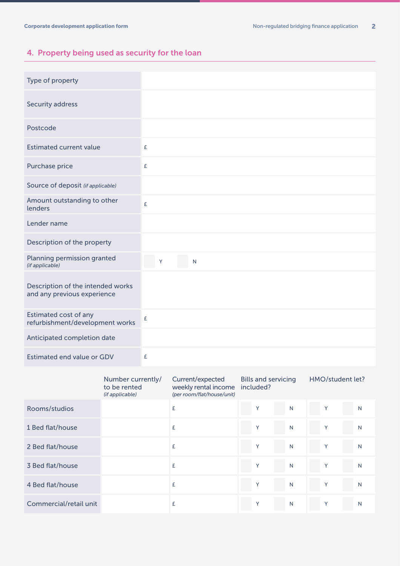# 4. Property being used as security for the loan

| Type of property                                                 |           |
|------------------------------------------------------------------|-----------|
| Security address                                                 |           |
| Postcode                                                         |           |
| <b>Estimated current value</b>                                   | £         |
| Purchase price                                                   | £         |
| Source of deposit (if applicable)                                |           |
| Amount outstanding to other<br>lenders                           | $\pounds$ |
| Lender name                                                      |           |
| Description of the property                                      |           |
| Planning permission granted<br>(if applicable)                   | Y<br>N    |
| Description of the intended works<br>and any previous experience |           |
| Estimated cost of any<br>refurbishment/development works         | £         |
| Anticipated completion date                                      |           |
| <b>Estimated end value or GDV</b>                                | £         |

|                        | Number currently/<br>to be rented<br>(if applicable) | Current/expected<br>weekly rental income<br>(per room/flat/house/unit) | <b>Bills and servicing</b><br>included? |              | HMO/student let? |   |
|------------------------|------------------------------------------------------|------------------------------------------------------------------------|-----------------------------------------|--------------|------------------|---|
| Rooms/studios          |                                                      | £                                                                      | Υ                                       | N            | Y                | N |
| 1 Bed flat/house       |                                                      | £                                                                      | Υ                                       | N            | Y                | N |
| 2 Bed flat/house       |                                                      | £                                                                      | Y                                       | $\mathsf{N}$ | Y                | N |
| 3 Bed flat/house       |                                                      | £                                                                      | Y                                       | $\mathsf{N}$ | Y                | N |
| 4 Bed flat/house       |                                                      | £                                                                      | Y                                       | N            | Y                | N |
| Commercial/retail unit |                                                      | £                                                                      | Y                                       | N            | Υ                | N |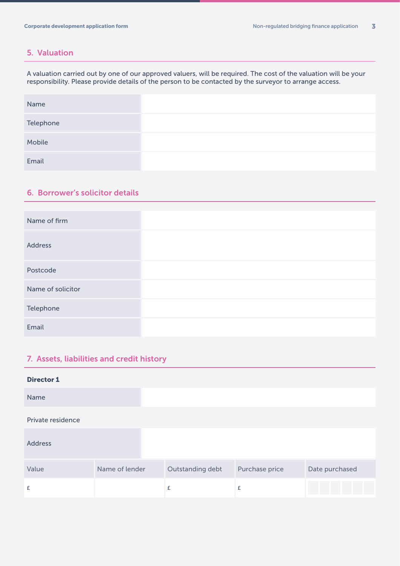#### 5. Valuation

A valuation carried out by one of our approved valuers, will be required. The cost of the valuation will be your responsibility. Please provide details of the person to be contacted by the surveyor to arrange access.

| Name      |  |
|-----------|--|
| Telephone |  |
| Mobile    |  |
| Email     |  |

#### 6. Borrower's solicitor details

| Name of firm      |  |
|-------------------|--|
| <b>Address</b>    |  |
| Postcode          |  |
| Name of solicitor |  |
| Telephone         |  |
| Email             |  |

### 7. Assets, liabilities and credit history

| <b>Director 1</b> |                |                  |                |                |
|-------------------|----------------|------------------|----------------|----------------|
| Name              |                |                  |                |                |
| Private residence |                |                  |                |                |
| <b>Address</b>    |                |                  |                |                |
| Value             | Name of lender | Outstanding debt | Purchase price | Date purchased |
| £                 |                | £                | £              |                |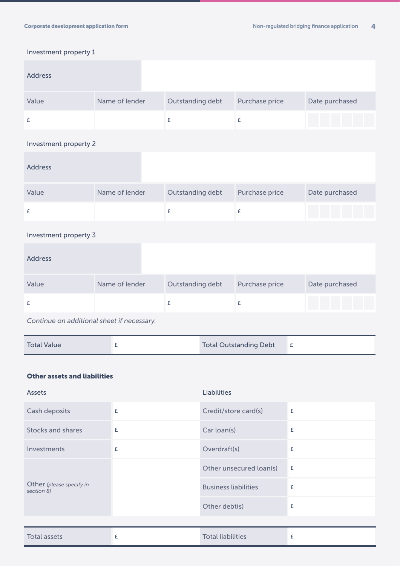#### Investment property 1

| <b>Address</b>        |                |                    |                |                |
|-----------------------|----------------|--------------------|----------------|----------------|
| Value                 | Name of lender | Outstanding debt   | Purchase price | Date purchased |
| £                     |                | $\pmb{\mathsf{E}}$ | £              |                |
| Investment property 2 |                |                    |                |                |
| <b>Address</b>        |                |                    |                |                |
| Value                 | Name of lender | Outstanding debt   | Purchase price | Date purchased |
| £                     |                | £                  | £              |                |
| Investment property 3 |                |                    |                |                |
| <b>Address</b>        |                |                    |                |                |
| Value                 | Name of lender | Outstanding debt   | Purchase price | Date purchased |
| £                     |                | £                  | £              |                |

*Continue on additional sheet if necessary.*

| <b>Total Value</b> |  | <b>Total Outstanding Debt</b> |  |
|--------------------|--|-------------------------------|--|
|--------------------|--|-------------------------------|--|

#### Other assets and liabilities

| Assets                                 |   | <b>Liabilities</b>          |   |
|----------------------------------------|---|-----------------------------|---|
| Cash deposits                          | £ | Credit/store card(s)        | £ |
| <b>Stocks and shares</b>               | £ | Car loan(s)                 | £ |
| Investments                            | £ | Overdraft(s)                | £ |
| Other (please specify in<br>section 8) |   | Other unsecured loan(s)     | £ |
|                                        |   | <b>Business liabilities</b> | £ |
|                                        |   | Other debt(s)               | £ |
|                                        |   |                             |   |
| <b>Total assets</b>                    | £ | <b>Total liabilities</b>    | £ |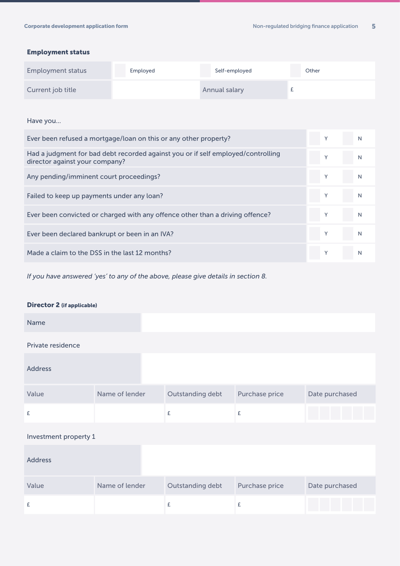#### Employment status

| <b>Employment status</b> | Employed | Self-employed | Other |
|--------------------------|----------|---------------|-------|
| Current job title        |          | Annual salary |       |

Have you...

| Ever been refused a mortgage/loan on this or any other property?                                                   | V | N |
|--------------------------------------------------------------------------------------------------------------------|---|---|
| Had a judgment for bad debt recorded against you or if self employed/controlling<br>director against your company? |   | N |
| Any pending/imminent court proceedings?                                                                            |   | N |
| Failed to keep up payments under any loan?                                                                         |   | N |
| Ever been convicted or charged with any offence other than a driving offence?                                      |   | N |
| Ever been declared bankrupt or been in an IVA?                                                                     |   | N |
| Made a claim to the DSS in the last 12 months?                                                                     |   | N |

*If you have answered 'yes' to any of the above, please give details in section 8.*

 $\frac{1}{2}$   $\frac{1}{2}$   $\frac{1}{2}$   $\frac{1}{2}$   $\frac{1}{2}$   $\frac{1}{2}$   $\frac{1}{2}$   $\frac{1}{2}$   $\frac{1}{2}$   $\frac{1}{2}$   $\frac{1}{2}$   $\frac{1}{2}$   $\frac{1}{2}$   $\frac{1}{2}$   $\frac{1}{2}$   $\frac{1}{2}$   $\frac{1}{2}$   $\frac{1}{2}$   $\frac{1}{2}$   $\frac{1}{2}$   $\frac{1}{2}$   $\frac{1}{2}$ 

#### Director 2 (if applicable)

| Name                  |                |                  |                |                |
|-----------------------|----------------|------------------|----------------|----------------|
| Private residence     |                |                  |                |                |
| <b>Address</b>        |                |                  |                |                |
| Value                 | Name of lender | Outstanding debt | Purchase price | Date purchased |
| £                     |                | £                | £              |                |
| Investment property 1 |                |                  |                |                |
| <b>Address</b>        |                |                  |                |                |
| Value                 | Name of lender | Outstanding debt | Purchase price | Date purchased |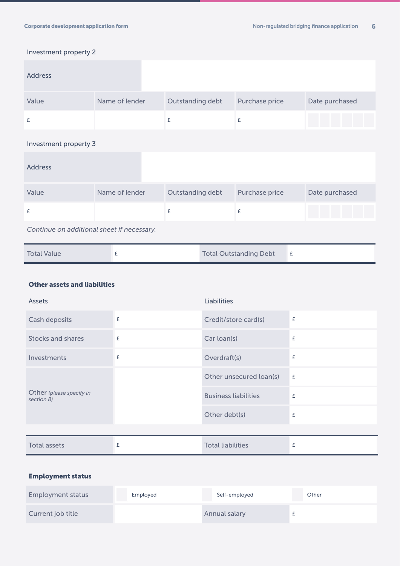#### Investment property 2

| <b>Address</b>                             |                |                  |                |                |
|--------------------------------------------|----------------|------------------|----------------|----------------|
| Value                                      | Name of lender | Outstanding debt | Purchase price | Date purchased |
| £                                          |                | £                | £              |                |
| Investment property 3                      |                |                  |                |                |
| <b>Address</b>                             |                |                  |                |                |
| Value                                      | Name of lender | Outstanding debt | Purchase price | Date purchased |
| £                                          |                | $\pounds$        | £              |                |
| Continue on additional sheet if necessary. |                |                  |                |                |

| <b>Total Value</b> |  | <b>Total Outstanding Debt</b> |  |
|--------------------|--|-------------------------------|--|
|--------------------|--|-------------------------------|--|

#### Other assets and liabilities

| <b>Assets</b>                          |   | <b>Liabilities</b>          |   |
|----------------------------------------|---|-----------------------------|---|
| Cash deposits                          | £ | Credit/store card(s)        | £ |
| Stocks and shares                      | £ | Car loan(s)                 | £ |
| Investments                            | £ | Overdraft(s)                | £ |
| Other (please specify in<br>section 8) |   | Other unsecured loan(s)     | £ |
|                                        |   | <b>Business liabilities</b> | £ |
|                                        |   | Other debt(s)               | £ |
|                                        |   |                             |   |
| <b>Total assets</b>                    | £ | <b>Total liabilities</b>    | £ |

#### Employment status

| <b>Employment status</b> | Employed | Self-employed | Other |
|--------------------------|----------|---------------|-------|
| Current job title        |          | Annual salary |       |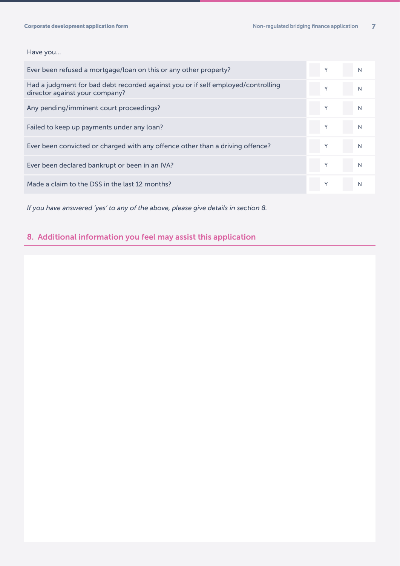#### Have you...

| Ever been refused a mortgage/loan on this or any other property?                                                   | Υ | N |
|--------------------------------------------------------------------------------------------------------------------|---|---|
| Had a judgment for bad debt recorded against you or if self employed/controlling<br>director against your company? | Υ | N |
| Any pending/imminent court proceedings?                                                                            |   | N |
| Failed to keep up payments under any loan?                                                                         |   | N |
| Ever been convicted or charged with any offence other than a driving offence?                                      |   | N |
| Ever been declared bankrupt or been in an IVA?                                                                     | Y | N |
| Made a claim to the DSS in the last 12 months?                                                                     |   |   |

*If you have answered 'yes' to any of the above, please give details in section 8.*

# 8. Additional information you feel may assist this application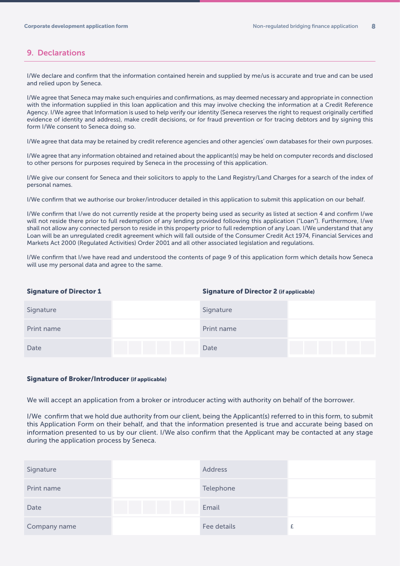#### 9. Declarations

I/We declare and confirm that the information contained herein and supplied by me/us is accurate and true and can be used and relied upon by Seneca.

I/We agree that Seneca may make such enquiries and confirmations, as may deemed necessary and appropriate in connection with the information supplied in this loan application and this may involve checking the information at a Credit Reference Agency. I/We agree that Information is used to help verify our identity (Seneca reserves the right to request originally certified evidence of identity and address), make credit decisions, or for fraud prevention or for tracing debtors and by signing this form I/We consent to Seneca doing so.

I/We agree that data may be retained by credit reference agencies and other agencies' own databases for their own purposes.

I/We agree that any information obtained and retained about the applicant(s) may be held on computer records and disclosed to other persons for purposes required by Seneca in the processing of this application.

I/We give our consent for Seneca and their solicitors to apply to the Land Registry/Land Charges for a search of the index of personal names.

I/We confirm that we authorise our broker/introducer detailed in this application to submit this application on our behalf.

I/We confirm that I/we do not currently reside at the property being used as security as listed at section 4 and confirm I/we will not reside there prior to full redemption of any lending provided following this application ("Loan"). Furthermore, I/we shall not allow any connected person to reside in this property prior to full redemption of any Loan. I/We understand that any Loan will be an unregulated credit agreement which will fall outside of the Consumer Credit Act 1974, Financial Services and Markets Act 2000 (Regulated Activities) Order 2001 and all other associated legislation and regulations.

I/We confirm that I/we have read and understood the contents of page 9 of this application form which details how Seneca will use my personal data and agree to the same.

#### Signature of Director 1 Signature of Director 2 (if applicable)

| Signature  | Signature  |  |
|------------|------------|--|
| Print name | Print name |  |
| Date       | Date       |  |

#### Signature of Broker/Introducer (if applicable)

We will accept an application from a broker or introducer acting with authority on behalf of the borrower.

I/We confirm that we hold due authority from our client, being the Applicant(s) referred to in this form, to submit this Application Form on their behalf, and that the information presented is true and accurate being based on information presented to us by our client. I/We also confirm that the Applicant may be contacted at any stage during the application process by Seneca.

| Signature    | <b>Address</b> |  |
|--------------|----------------|--|
| Print name   | Telephone      |  |
| Date         | Email          |  |
| Company name | Fee details    |  |